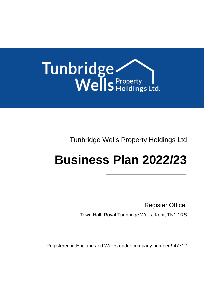

Tunbridge Wells Property Holdings Ltd

# **Business Plan 2022/23**

Register Office:

Town Hall, Royal Tunbridge Wells, Kent, TN1 1RS

Registered in England and Wales under company number 947712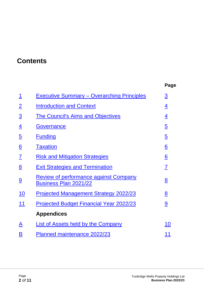# **Contents**

|                          |                                                                              | Page            |
|--------------------------|------------------------------------------------------------------------------|-----------------|
| <u> 1</u>                | <b>Executive Summary – Overarching Principles</b>                            | $\overline{3}$  |
| <u>2</u>                 | <b>Introduction and Context</b>                                              | $\overline{4}$  |
| <u>3</u>                 | <b>The Council's Aims and Objectives</b>                                     | $\overline{4}$  |
| $\overline{4}$           | <b>Governance</b>                                                            | $\overline{5}$  |
| $\overline{5}$           | <b>Funding</b>                                                               | $\overline{5}$  |
| <u>6</u>                 | <b>Taxation</b>                                                              | $6\overline{6}$ |
| $\overline{\mathcal{I}}$ | <b>Risk and Mitigation Strategies</b>                                        | $6\overline{6}$ |
| <u>8</u>                 | <b>Exit Strategies and Termination</b>                                       | 7               |
| <u>9</u>                 | <b>Review of performance against Company</b><br><b>Business Plan 2021/22</b> | $\underline{8}$ |
| <u>10</u>                | <b>Projected Management Strategy 2022/23</b>                                 | 8               |
| 11                       | <b>Projected Budget Financial Year 2022/23</b>                               | <u>9</u>        |
|                          | <b>Appendices</b>                                                            |                 |
| A                        | <b>List of Assets held by the Company</b>                                    | 10              |
| <u>B</u>                 | <b>Planned maintenance 2022/23</b>                                           | 11              |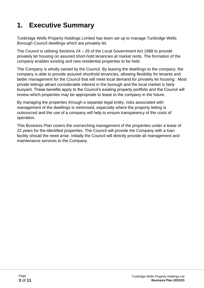# **1. Executive Summary**

Tunbridge Wells Property Holdings Limited has been set up to manage Tunbridge Wells Borough Council dwellings which are privately let.

The Council is utilising Sections 24 – 26 of the Local Government Act 1988 to provide privately let housing on assured short-hold tenancies at market rents. The formation of the company enables existing and new residential properties to be held.

The Company is wholly owned by the Council. By leasing the dwellings to the company, the company is able to provide assured shorthold tenancies, allowing flexibility for tenants and better management for the Council that will meet local demand for privately let housing. Most private lettings attract considerable interest in the borough and the local market is fairly buoyant. These benefits apply to the Council's existing property portfolio and the Council will review which properties may be appropriate to lease to the company in the future.

By managing the properties through a separate legal entity, risks associated with management of the dwellings is minimised, especially where the property letting is outsourced and the use of a company will help to ensure transparency of the costs of operation.

This Business Plan covers the overarching management of the properties under a lease of 22 years for the identified properties. The Council will provide the Company with a loan facility should the need arise. Initially the Council will directly provide all management and maintenance services to the Company.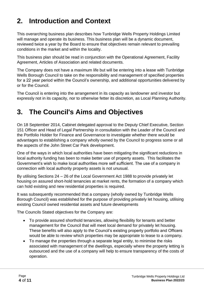# <span id="page-3-0"></span>**2. Introduction and Context**

This overarching business plan describes how Tunbridge Wells Property Holdings Limited will manage and operate its business. This business plan will be a dynamic document, reviewed twice a year by the Board to ensure that objectives remain relevant to prevailing conditions in the market and within the locality.

This business plan should be read in conjunction with the Operational Agreement, Facility Agreement, Articles of Association and related documents.

The Company does not have a maximum life but will be entering into a lease with Tunbridge Wells Borough Council to take on the responsibility and management of specified properties for a 22 year period within the Council's ownership, and additional opportunities delivered by or for the Council.

The Council is entering into the arrangement in its capacity as landowner and investor but expressly not in its capacity, nor to otherwise fetter its discretion, as Local Planning Authority.

# <span id="page-3-1"></span>**3. The Council's Aims and Objectives**

On 18 September 2014, Cabinet delegated approval to the Deputy Chief Executive, Section 151 Officer and Head of Legal Partnership in consultation with the Leader of the Council and the Portfolio Holder for Finance and Governance to investigate whether there would be advantages to establishing a company wholly owned by the Council to progress some or all the aspects of the John Street Car Park development.

One of the ways in which local authorities have been mitigating the significant reductions in local authority funding has been to make better use of property assets. This facilitates the Government's wish to make local authorities more self sufficient. The use of a company in connection with local authority property assets is not unusual.

By utilising Sections 24 – 26 of the Local Government Act 1988 to provide privately let housing on assured short-hold tenancies at market rents, the formation of a company which can hold existing and new residential properties is required.

It was subsequently recommended that a company (wholly owned by Tunbridge Wells Borough Council) was established for the purpose of providing privately let housing, utilising existing Council owned residential assets and future developments

The Councils Stated objectives for the Company are:

- To provide assured shorthold tenancies, allowing flexibility for tenants and better management for the Council that will meet local demand for privately let housing. These benefits will also apply to the Council's existing property portfolio and Officers would be able to review which properties may be appropriate to lease to a company.
- To manage the properties through a separate legal entity, to minimise the risks associated with management of the dwellings, especially where the property letting is outsourced and the use of a company will help to ensure transparency of the costs of operation.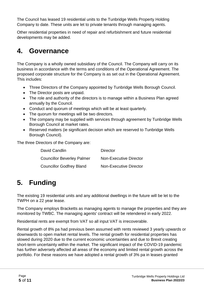The Council has leased 19 residential units to the Tunbridge Wells Property Holding Company to date. These units are let to private tenants through managing agents.

Other residential properties in need of repair and refurbishment and future residential developments may be added.

### <span id="page-4-0"></span>**4. Governance**

The Company is a wholly owned subsidiary of the Council. The Company will carry on its business in accordance with the terms and conditions of the Operational Agreement. The proposed corporate structure for the Company is as set out in the Operational Agreement. This includes:

- Three Directors of the Company appointed by Tunbridge Wells Borough Council.
- The Director posts are unpaid.
- The role and authority of the directors is to manage within a Business Plan agreed annually by the Council.
- Conduct and quorum of meetings which will be at least quarterly.
- The quorum for meetings will be two directors.
- The company may be supplied with services through agreement by Tunbridge Wells Borough Council at market rates.
- Reserved matters (ie significant decision which are reserved to Tunbridge Wells Borough Council).

The three Directors of the Company are:

| David Candlin                     | <b>Director</b>               |
|-----------------------------------|-------------------------------|
| <b>Councillor Beverley Palmer</b> | <b>Non-Executive Director</b> |
| <b>Councillor Godfrey Bland</b>   | <b>Non-Executive Director</b> |

# <span id="page-4-1"></span>**5. Funding**

The existing 19 residential units and any additional dwellings in the future will be let to the TWPH on a 22 year lease.

The Company employs Bracketts as managing agents to manage the properties and they are monitored by TWBC. The managing agents' contract will be retendered in early 2022.

Residential rents are exempt from VAT so all input VAT is irrecoverable.

Rental growth of 8% pa had previous been assumed with rents reviewed 3 yearly upwards or downwards to open market rental levels. The rental growth for residential properties has slowed during 2020 due to the current economic uncertainties and due to Brexit creating short-term uncertainty within the market. The significant impact of the COVID-19 pandemic has further adversely affected all areas of the economy and limited rental growth across the portfolio. For these reasons we have adopted a rental growth of 3% pa in leases granted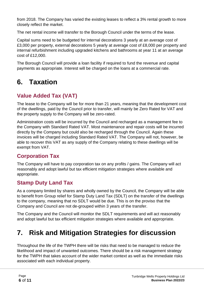from 2018. The Company has varied the existing leases to reflect a 3% rental growth to more closely reflect the market.

The net rental income will transfer to the Borough Council under the terms of the lease.

Capital sums need to be budgeted for internal decorations 3 yearly at an average cost of £3,000 per property, external decorations 5 yearly at average cost of £8,000 per property and internal refurbishment including upgraded kitchens and bathrooms at year 11 at an average cost of £12,000.

The Borough Council will provide a loan facility if required to fund the revenue and capital payments as appropriate. Interest will be charged on the loans at a commercial rate.

# <span id="page-5-0"></span>**6. Taxation**

### **Value Added Tax (VAT)**

The lease to the Company will be for more than 21 years, meaning that the development cost of the dwellings, paid by the Council prior to transfer, will mainly be Zero Rated for VAT and the property supply to the Company will be zero-rated.

Administration costs will be incurred by the Council and recharged as a management fee to the Company with Standard Rated VAT. Most maintenance and repair costs will be incurred directly by the Company but could also be recharged through the Council. Again these invoices will be charged including Standard Rated VAT. The Company will not, however, be able to recover this VAT as any supply of the Company relating to these dwellings will be exempt from VAT.

### **Corporation Tax**

The Company will have to pay corporation tax on any profits / gains. The Company will act reasonably and adopt lawful but tax efficient mitigation strategies where available and appropriate.

#### **Stamp Duty Land Tax**

As a company limited by shares and wholly owned by the Council, the Company will be able to benefit from Group relief for Stamp Duty Land Tax (SDLT) on the transfer of the dwellings to the company, meaning that no SDLT would be due. This is on the proviso that the Company and Council are not de-grouped within 3 years of the transfer.

The Company and the Council will monitor the SDLT requirements and will act reasonably and adopt lawful but tax efficient mitigation strategies where available and appropriate.

# <span id="page-5-1"></span>**7. Risk and Mitigation Strategies for discussion**

Throughout the life of the TWPH there will be risks that need to be managed to reduce the likelihood and impact of unwanted outcomes. There should be a risk management strategy for the TWPH that takes account of the wider market context as well as the immediate risks associated with each individual property.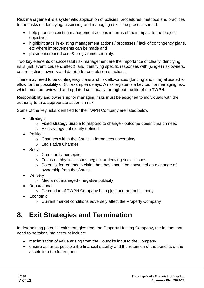Risk management is a systematic application of policies, procedures, methods and practices to the tasks of identifying, assessing and managing risk. The process should:

- help prioritise existing management actions in terms of their impact to the project objectives
- highlight gaps in existing management actions / processes / lack of contingency plans, etc where improvements can be made and
- provide increased cost & programme certainty.

Two key elements of successful risk management are the importance of clearly identifying risks (risk event, cause & effect); and identifying specific responses with (single) risk owners, control actions owners and date(s) for completion of actions.

There may need to be contingency plans and risk allowances (funding and time) allocated to allow for the possibility of (for example) delays. A risk register is a key tool for managing risk, which must be reviewed and updated continually throughout the life of the TWPH.

Responsibility and ownership for managing risks must be assigned to individuals with the authority to take appropriate action on risk.

Some of the key risks identified for the TWPH Company are listed below:

- Strategic
	- o Fixed strategy unable to respond to change outcome doesn't match need
	- o Exit strategy not clearly defined
- Political
	- o Changes within the Council introduces uncertainty
	- o Legislative Changes
- **Social** 
	- o Community perception
	- o Focus on physical issues neglect underlying social issues
	- o Potential for tenants to claim that they should be consulted on a change of ownership from the Council
- Delivery
	- o Media not managed negative publicity
- **Reputational** 
	- o Perception of TWPH Company being just another public body
- Economic
	- o Current market conditions adversely affect the Property Company

# <span id="page-6-0"></span>**8. Exit Strategies and Termination**

In determining potential exit strategies from the Property Holding Company, the factors that need to be taken into account include:

- maximisation of value arising from the Council's input to the Company,
- ensure as far as possible the financial stability and the retention of the benefits of the assets into the future, and,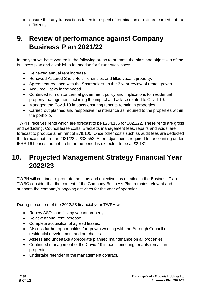• ensure that any transactions taken in respect of termination or exit are carried out tax efficiently.

### <span id="page-7-0"></span>**9. Review of performance against Company Business Plan 2021/22**

In the year we have worked in the following areas to promote the aims and objectives of the business plan and establish a foundation for future successes:

- Reviewed annual rent increase.
- Renewed Assured Short-Hold Tenancies and filled vacant property.
- Agreement reached with the Shareholder on the 3 year review of rental growth.
- Acquired Packs in the Wood.
- Continued to monitor central government policy and implications for residential property management including the impact and advice related to Covid-19.
- Managed the Covid-19 impacts ensuring tenants remain in properties.
- Carried out planned and responsive maintenance as required to the properties within the portfolio.

TWPH receives rents which are forecast to be £234,185 for 2021/22. These rents are gross and deducting, Council lease costs, Bracketts management fees, repairs and voids, are forecast to produce a net rent of £79,100. Once other costs such as audit fees are deducted the forecast outturn for 2021/22 is £33,553. After adjustments required for accounting under IFRS 16 Leases the net profit for the period is expected to be at £2,181.

### <span id="page-7-1"></span>**10. Projected Management Strategy Financial Year 2022/23**

TWPH will continue to promote the aims and objectives as detailed in the Business Plan. TWBC consider that the content of the Company Business Plan remains relevant and supports the company's ongoing activities for the year of operation.

During the course of the 2022/23 financial year TWPH will:

- Renew ASTs and fill any vacant property.
- Review annual rent increase.
- Complete acquisition of agreed leases.
- Discuss further opportunities for growth working with the Borough Council on residential development and purchases.
- Assess and undertake appropriate planned maintenance on all properties.
- Continued management of the Covid-19 impacts ensuring tenants remain in properties.
- Undertake retender of the management contract.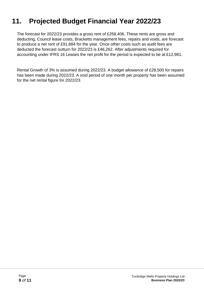# <span id="page-8-0"></span>**11. Projected Budget Financial Year 2022/23**

The forecast for 2022/23 provides a gross rent of £258,406. These rents are gross and deducting, Council lease costs, Bracketts management fees, repairs and voids, are forecast to produce a net rent of £91,884 for the year. Once other costs such as audit fees are deducted the forecast outturn for 2022/23 is £46,262. After adjustments required for accounting under IFRS 16 Leases the net profit for the period is expected to be at £12,981.

Rental Growth of 3% is assumed during 2022/23. A budget allowance of £28,500 for repairs has been made during 2022/23. A void period of one month per property has been assumed for the net rental figure for 2022/23.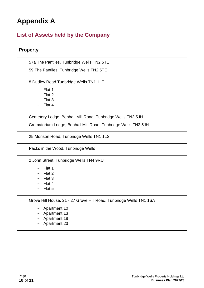### <span id="page-9-0"></span>**Appendix A**

#### **List of Assets held by the Company**

#### **Property**

57a The Pantiles, Tunbridge Wells TN2 5TE

59 The Pantiles, Tunbridge Wells TN2 5TE

8 Dudley Road Tunbridge Wells TN1 1LF

- Flat 1
- Flat 2
- Flat 3
- Flat 4

Cemetery Lodge, Benhall Mill Road, Tunbridge Wells TN2 5JH

Crematorium Lodge, Benhall Mill Road, Tunbridge Wells TN2 5JH

25 Monson Road, Tunbridge Wells TN1 1LS

Packs in the Wood, Tunbridge Wells

2 John Street, Tunbridge Wells TN4 9RU

- Flat 1
- Flat 2
- Flat 3
- Flat 4
- Flat 5

Grove Hill House, 21 - 27 Grove Hill Road, Tunbridge Wells TN1 1SA

- Apartment 10
- Apartment 13
- Apartment 18
- Apartment 23